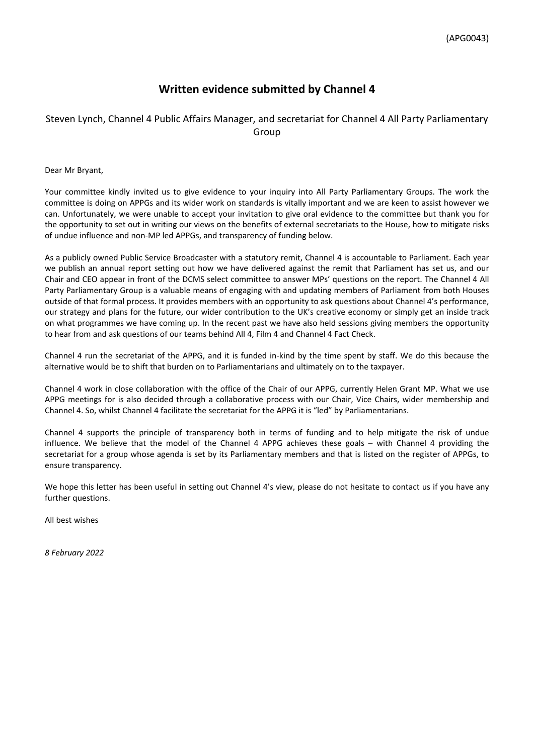## **Written evidence submitted by Channel 4**

## Steven Lynch, Channel 4 Public Affairs Manager, and secretariat for Channel 4 All Party Parliamentary Group

Dear Mr Bryant,

Your committee kindly invited us to give evidence to your inquiry into All Party Parliamentary Groups. The work the committee is doing on APPGs and its wider work on standards is vitally important and we are keen to assist however we can. Unfortunately, we were unable to accept your invitation to give oral evidence to the committee but thank you for the opportunity to set out in writing our views on the benefits of external secretariats to the House, how to mitigate risks of undue influence and non-MP led APPGs, and transparency of funding below.

As a publicly owned Public Service Broadcaster with a statutory remit, Channel 4 is accountable to Parliament. Each year we publish an annual report setting out how we have delivered against the remit that Parliament has set us, and our Chair and CEO appear in front of the DCMS select committee to answer MPs' questions on the report. The Channel 4 All Party Parliamentary Group is a valuable means of engaging with and updating members of Parliament from both Houses outside of that formal process. It provides members with an opportunity to ask questions about Channel 4's performance, our strategy and plans for the future, our wider contribution to the UK's creative economy or simply get an inside track on what programmes we have coming up. In the recent past we have also held sessions giving members the opportunity to hear from and ask questions of our teams behind All 4, Film 4 and Channel 4 Fact Check.

Channel 4 run the secretariat of the APPG, and it is funded in-kind by the time spent by staff. We do this because the alternative would be to shift that burden on to Parliamentarians and ultimately on to the taxpayer.

Channel 4 work in close collaboration with the office of the Chair of our APPG, currently Helen Grant MP. What we use APPG meetings for is also decided through a collaborative process with our Chair, Vice Chairs, wider membership and Channel 4. So, whilst Channel 4 facilitate the secretariat for the APPG it is "led" by Parliamentarians.

Channel 4 supports the principle of transparency both in terms of funding and to help mitigate the risk of undue influence. We believe that the model of the Channel 4 APPG achieves these goals – with Channel 4 providing the secretariat for a group whose agenda is set by its Parliamentary members and that is listed on the register of APPGs, to ensure transparency.

We hope this letter has been useful in setting out Channel 4's view, please do not hesitate to contact us if you have any further questions.

All best wishes

*8 February 2022*